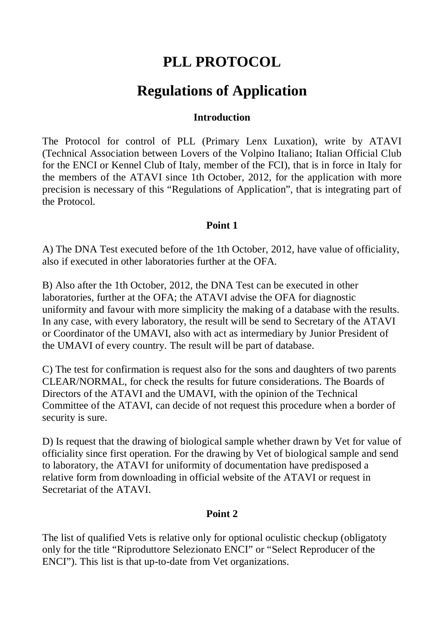# **PLL PROTOCOL**

## **Regulations of Application**

### **Introduction**

The Protocol for control of PLL (Primary Lenx Luxation), write by ATAVI (Technical Association between Lovers of the Volpino Italiano; Italian Official Club for the ENCI or Kennel Club of Italy, member of the FCI), that is in force in Italy for the members of the ATAVI since 1th October, 2012, for the application with more precision is necessary of this "Regulations of Application", that is integrating part of the Protocol.

## **Point 1**

A) The DNA Test executed before of the 1th October, 2012, have value of officiality, also if executed in other laboratories further at the OFA.

B) Also after the 1th October, 2012, the DNA Test can be executed in other laboratories, further at the OFA; the ATAVI advise the OFA for diagnostic uniformity and favour with more simplicity the making of a database with the results. In any case, with every laboratory, the result will be send to Secretary of the ATAVI or Coordinator of the UMAVI, also with act as intermediary by Junior President of the UMAVI of every country. The result will be part of database.

C) The test for confirmation is request also for the sons and daughters of two parents CLEAR/NORMAL, for check the results for future considerations. The Boards of Directors of the ATAVI and the UMAVI, with the opinion of the Technical Committee of the ATAVI, can decide of not request this procedure when a border of security is sure.

D) Is request that the drawing of biological sample whether drawn by Vet for value of officiality since first operation. For the drawing by Vet of biological sample and send to laboratory, the ATAVI for uniformity of documentation have predisposed a relative form from downloading in official website of the ATAVI or request in Secretariat of the ATAVI.

### **Point 2**

The list of qualified Vets is relative only for optional oculistic checkup (obligatoty only for the title "Riproduttore Selezionato ENCI" or "Select Reproducer of the ENCI"). This list is that up-to-date from Vet organizations.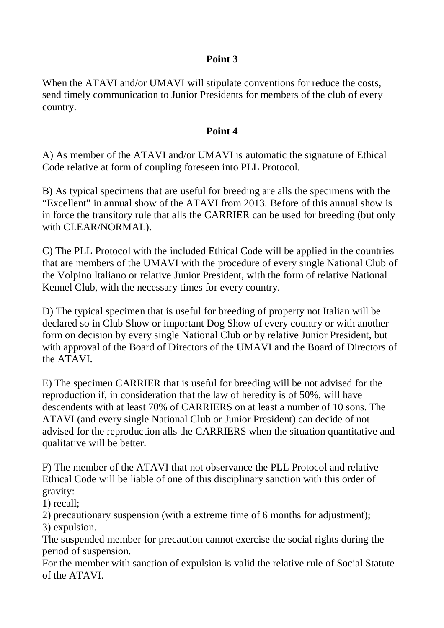## **Point 3**

When the ATAVI and/or UMAVI will stipulate conventions for reduce the costs, send timely communication to Junior Presidents for members of the club of every country.

### **Point 4**

A) As member of the ATAVI and/or UMAVI is automatic the signature of Ethical Code relative at form of coupling foreseen into PLL Protocol.

B) As typical specimens that are useful for breeding are alls the specimens with the "Excellent" in annual show of the ATAVI from 2013. Before of this annual show is in force the transitory rule that alls the CARRIER can be used for breeding (but only with CLEAR/NORMAL).

C) The PLL Protocol with the included Ethical Code will be applied in the countries that are members of the UMAVI with the procedure of every single National Club of the Volpino Italiano or relative Junior President, with the form of relative National Kennel Club, with the necessary times for every country.

D) The typical specimen that is useful for breeding of property not Italian will be declared so in Club Show or important Dog Show of every country or with another form on decision by every single National Club or by relative Junior President, but with approval of the Board of Directors of the UMAVI and the Board of Directors of the ATAVI.

E) The specimen CARRIER that is useful for breeding will be not advised for the reproduction if, in consideration that the law of heredity is of 50%, will have descendents with at least 70% of CARRIERS on at least a number of 10 sons. The ATAVI (and every single National Club or Junior President) can decide of not advised for the reproduction alls the CARRIERS when the situation quantitative and qualitative will be better.

F) The member of the ATAVI that not observance the PLL Protocol and relative Ethical Code will be liable of one of this disciplinary sanction with this order of gravity:

1) recall;

2) precautionary suspension (with a extreme time of 6 months for adjustment); 3) expulsion.

The suspended member for precaution cannot exercise the social rights during the period of suspension.

For the member with sanction of expulsion is valid the relative rule of Social Statute of the ATAVI.